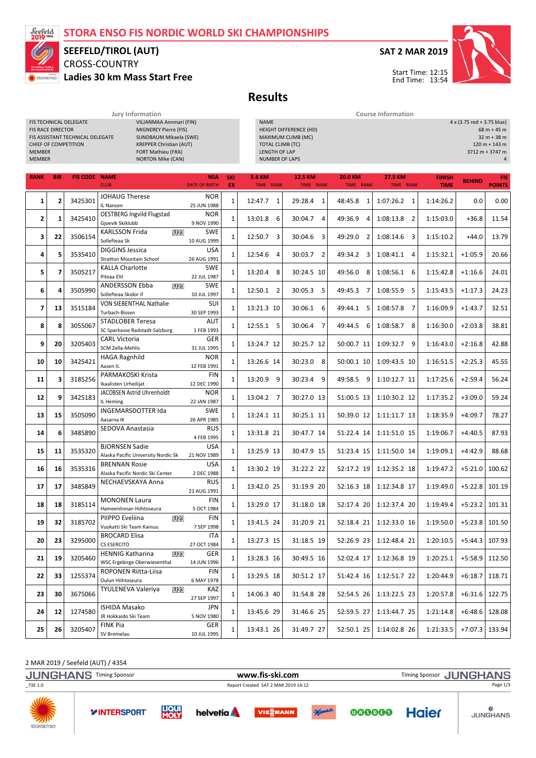# STORA ENSO FIS NORDIC WORLD SKI CHAMPIONSHIPS



# CROSS-COUNTRY SEEFELD/TIROL (AUT)

Ladies 30 km Mass Start Free



Results

Jury Information Course Information

| <b>MEMBER</b><br><b>MEMBER</b> | <b>FIS RACE DIRECTOR</b> | FIS TECHNICAL DELEGATE<br>FIS ASSISTANT TECHNICAL DELEGATE<br><b>CHIEF OF COMPETITION</b> | VILJANMAA Annmari (FIN)<br>MIGNEREY Pierre (FIS)<br>SUNDBAUM Mikaela (SWE)<br><b>KREPPER Christian (AUT)</b><br>FORT Mathieu (FRA)<br><b>NORTON Mike (CAN)</b> |                         | <b>NAME</b><br><b>TOTAL CLIMB (TC)</b><br><b>LENGTH OF LAP</b><br><b>NUMBER OF LAPS</b> | HEIGHT DIFFERENCE (HD)<br>MAXIMUM CLIMB (MC) |                             |                             |                              | 4 x (3.75 red + 3.75 blue) | $68 m + 45 m$<br>$32 m + 38 m$<br>$120 m + 143 m$<br>3712 m + 3747 m<br>4 |
|--------------------------------|--------------------------|-------------------------------------------------------------------------------------------|----------------------------------------------------------------------------------------------------------------------------------------------------------------|-------------------------|-----------------------------------------------------------------------------------------|----------------------------------------------|-----------------------------|-----------------------------|------------------------------|----------------------------|---------------------------------------------------------------------------|
| <b>RANK</b>                    | <b>BIB</b>               | <b>FIS CODE NAME</b>                                                                      | <b>NSA</b><br><b>CLUB</b><br><b>DATE OF BIRTH</b>                                                                                                              | <b>SKI</b><br><b>EX</b> | <b>5.6 KM</b><br><b>TIME RANK</b>                                                       | <b>12.5 KM</b><br><b>TIME RANK</b>           | <b>20.0 KM</b><br>TIME RANK | <b>27.5 KM</b><br>TIME RANK | <b>FINISH</b><br><b>TIME</b> | <b>BEHIND</b>              | <b>FIS</b><br><b>POINTS</b>                                               |
| 1                              | $\overline{2}$           | 3425301                                                                                   | <b>JOHAUG Therese</b><br><b>NOR</b><br>IL Nansen<br>25 JUN 1988                                                                                                | 1                       | 12:47.7 1                                                                               | 29:28.4 1                                    | 48:45.8 1                   | $1:07:26.2$ 1               | 1:14:26.2                    | 0.0                        | 0.00                                                                      |
| 2                              | 1                        | 3425410                                                                                   | <b>OESTBERG Ingvild Flugstad</b><br><b>NOR</b><br>Gjoevik Skiklubb<br>9 NOV 1990                                                                               | $1\,$                   | 13:01.8 6                                                                               | 30:04.7 4                                    | 49:36.9<br>4                | 1:08:13.8<br>$\overline{2}$ | 1:15:03.0                    | $+36.8$                    | 11.54                                                                     |
| 3                              | 22                       | 3506154                                                                                   | <b>KARLSSON Frida</b><br><b>U23</b><br><b>SWE</b><br>Sollefteaa Sk<br>10 AUG 1999                                                                              | $\mathbf{1}$            | 12:50.7 3                                                                               | 30:04.6 3                                    | 49:29.0<br>$\overline{2}$   | $1:08:14.6$ 3               | 1:15:10.2                    | $+44.0$                    | 13.79                                                                     |
| 4                              | 5                        | 3535410                                                                                   | <b>DIGGINS Jessica</b><br><b>USA</b><br><b>Stratton Mountain School</b><br>26 AUG 1991                                                                         | $\mathbf{1}$            | 12:54.6 4                                                                               | 30:03.7 2                                    | 49:34.2 3                   | $1:08:41.1$ 4               | 1:15:32.1                    | $+1:05.9$                  | 20.66                                                                     |
| 5                              | $\overline{\phantom{a}}$ | 3505217                                                                                   | <b>KALLA Charlotte</b><br><b>SWE</b><br>Piteaa Elit<br>22 JUL 1987                                                                                             | $\mathbf{1}$            | 13:20.4 8                                                                               | 30:24.5 10                                   | 49:56.0<br>8                | 1:08:56.1<br>-6             | 1:15:42.8                    | $+1:16.6$                  | 24.01                                                                     |
| 6                              | 4                        | 3505990                                                                                   | <b>ANDERSSON Ebba</b><br><b>SWE</b><br>U <sub>23</sub><br>Sollefteaa Skidor if<br>10 JUL 1997                                                                  | $\mathbf{1}$            | 12:50.1 2                                                                               | 30:05.3 5                                    | 49:45.3 7                   | 1:08:55.9<br>-5             | 1:15:43.5                    | $+1:17.3$                  | 24.23                                                                     |
| $\overline{\mathbf{z}}$        | 13                       | 3515184                                                                                   | <b>VON SIEBENTHAL Nathalie</b><br>SUI<br>Turbach-Bissen<br>30 SEP 1993                                                                                         | $\mathbf{1}$            | 13:21.3 10                                                                              | 30:06.1 6                                    | 49:44.1 5                   | 1:08:57.8 7                 | 1:16:09.9                    | $+1:43.7$                  | 32.51                                                                     |
| 8                              | 8                        | 3055067                                                                                   | <b>STADLOBER Teresa</b><br>AUT<br>SC Sparkasse Radstadt-Salzburg<br>1 FEB 1993                                                                                 | $\mathbf{1}$            | 12:55.1 5                                                                               | 30:06.4 7                                    | 49:44.5 6                   | 1:08:58.7<br>-8             | 1:16:30.0                    | $+2:03.8$                  | 38.81                                                                     |
| 9                              | 20                       | 3205403                                                                                   | <b>CARL Victoria</b><br>GER<br>SCM Zella-Mehlis<br>31 JUL 1995                                                                                                 | $\mathbf{1}$            | 13:24.7 12                                                                              | 30:25.7 12                                   | 50:00.7 11                  | 1:09:32.7 9                 | 1:16:43.0                    | $+2:16.8$                  | 42.88                                                                     |
| 10                             | 10                       | 3425421                                                                                   | <b>HAGA Ragnhild</b><br><b>NOR</b><br>Aasen IL<br>12 FEB 1991                                                                                                  | $\mathbf{1}$            | 13:26.6 14                                                                              | 30:23.0 8                                    | 50:00.1 10                  | 1:09:43.5 10                | 1:16:51.5                    | $+2:25.3$                  | 45.55                                                                     |
| 11                             | 3                        | 3185256                                                                                   | PARMAKOSKI Krista<br><b>FIN</b><br>Ikaalisten Urheilijat<br>12 DEC 1990                                                                                        | $\mathbf{1}$            | 13:20.9 9                                                                               | 30:23.4 9                                    | 49:58.5 9                   | 1:10:12.7 11                | 1:17:25.6                    | $+2:59.4$                  | 56.24                                                                     |
| 12                             | 9                        | 3425183                                                                                   | JACOBSEN Astrid Uhrenholdt<br><b>NOR</b><br>IL Heming<br>22 JAN 1987                                                                                           | $\mathbf{1}$            | 13:04.2 7                                                                               | 30:27.0 13                                   | 51:00.5 13                  | 1:10:30.2 12                | 1:17:35.2                    | $+3:09.0$                  | 59.24                                                                     |
| 13                             | 15                       | 3505090                                                                                   | INGEMARSDOTTER Ida<br><b>SWE</b><br>Aasarna IK<br>26 APR 1985                                                                                                  | $\mathbf{1}$            | 13:24.1 11                                                                              | 30:25.1 11                                   | 50:39.0 12                  | 1:11:11.7 13                | 1:18:35.9                    | $+4:09.7$                  | 78.27                                                                     |
| 14                             | 6                        | 3485890                                                                                   | SEDOVA Anastasia<br><b>RUS</b><br>4 FEB 1995                                                                                                                   | $\mathbf{1}$            | 13:31.8 21                                                                              | 30:47.7 14                                   | 51:22.4 14                  | 1:11:51.0 15                | 1:19:06.7                    | $+4:40.5$                  | 87.93                                                                     |
| 15                             | 11                       | 3535320                                                                                   | <b>BJORNSEN Sadie</b><br><b>USA</b><br>Alaska Pacific University Nordic Sk<br>21 NOV 1989                                                                      | $1\,$                   | 13:25.9 13                                                                              | 30:47.9 15                                   | 51:23.4 15                  | 1:11:50.0 14                | 1:19:09.1                    | $+4:42.9$                  | 88.68                                                                     |
| 16                             | 16                       | 3535316                                                                                   | <b>BRENNAN Rosie</b><br><b>USA</b><br>Alaska Pacific Nordic Ski Center<br>2 DEC 1988                                                                           | $\mathbf{1}$            | 13:30.2 19                                                                              | 31:22.2 22                                   | 52:17.2 19                  | 1:12:35.2 18                | 1:19:47.2                    | $+5:21.0$                  | 100.62                                                                    |
| 17                             | 17                       | 3485849                                                                                   | NECHAEVSKAYA Anna<br><b>RUS</b><br>21 AUG 1991                                                                                                                 | $\mathbf{1}$            | 13:42.0 25                                                                              | 31:19.9 20                                   | 52:16.3 18                  | 1:12:34.8 17                | 1:19:49.0                    | $+5:22.8$                  | 101.19                                                                    |
| 18                             | 18                       | 3185114                                                                                   | <b>MONONEN Laura</b><br>FIN<br>Hameenlinnan Hiihtoseura<br>5 OCT 1984                                                                                          | $\mathbf{1}$            | 13:29.0 17                                                                              | 31:18.0 18                                   | 52:17.4 20                  | 1:12:37.4 20                | 1:19:49.4                    | $+5:23.2$                  | 101.31                                                                    |
| 19                             | 32                       | 3185702                                                                                   | PIIPPO Eveliina<br><b>FIN</b><br><b>U23</b><br>Vuokatti Ski Team Kainuu<br>7 SEP 1998                                                                          | $\mathbf 1$             | 13:41.5 24                                                                              | 31:20.9 21                                   |                             | 52:18.4 21 1:12:33.0 16     | 1:19:50.0                    | $+5:23.8$ 101.50           |                                                                           |
| 20                             | 23                       | 3295000                                                                                   | <b>BROCARD Elisa</b><br>ITA<br>CS ESERCITO<br>27 OCT 1984                                                                                                      | $\mathbf{1}$            | 13:27.3 15                                                                              | 31:18.5 19                                   | 52:26.9 23                  | 1:12:48.4 21                | 1:20:10.5                    | $+5:44.3$                  | 107.93                                                                    |
| 21                             | 19                       | 3205460                                                                                   | <b>HENNIG Katharina</b><br><b>U23</b><br>GER<br>WSC Ergebirge Oberwiesenthal<br>14 JUN 1996                                                                    | $\mathbf{1}$            | 13:28.3 16                                                                              | 30:49.5 16                                   | 52:02.4 17                  | 1:12:36.8 19                | 1:20:25.1                    | $+5:58.9$                  | 112.50                                                                    |
| 22                             | 33                       | 1255374                                                                                   | ROPONEN Riitta-Liisa<br>FIN<br>Oulun Hiihtoseura<br>6 MAY 1978                                                                                                 | $\mathbf{1}$            | 13:29.5 18                                                                              | 30:51.2 17                                   | 51:42.4 16                  | 1:12:51.7 22                | 1:20:44.9                    | $+6:18.7$                  | 118.71                                                                    |
| 23                             | 30                       | 3675066                                                                                   | TYULENEVA Valeriya<br>KAZ<br><b>U23</b><br>27 SEP 1997                                                                                                         | $\mathbf{1}$            | 14:06.3 40                                                                              | 31:54.8 28                                   | 52:54.5 26                  | 1:13:22.5 23                | 1:20:57.8                    | $+6:31.6$                  | 122.75                                                                    |
| 24                             | 12                       | 1274580                                                                                   | <b>ISHIDA Masako</b><br>JPN<br>JR Hokkaido Ski Team<br>5 NOV 1980                                                                                              | 1                       | 13:45.6 29                                                                              | 31:46.6 25                                   | 52:59.5 27                  | 1:13:44.7 25                | 1:21:14.8                    | $+6:48.6$                  | 128.08                                                                    |
| 25                             | 26                       | 3205407                                                                                   | <b>FINK Pia</b><br>GER<br>SV Bremelau<br>10 JUL 1995                                                                                                           | $\mathbf{1}$            | 13:43.1 26                                                                              | 31:49.7 27                                   | 52:50.1 25                  | 1:14:02.8 26                | 1:21:33.5                    | $+7:07.3$                  | 133.94                                                                    |

2 MAR 2019 / Seefeld (AUT) / 4354

JUNGHANS Timing Sponsor **WWW.fis-ski.com** WWW.fis-Ski.com Timing Sponsor JUNGHANS \_73E 1.0 Report Created SAT 2 MAR 2019 14:12 Page 1/3**NVIVE YINTERSPORT** 





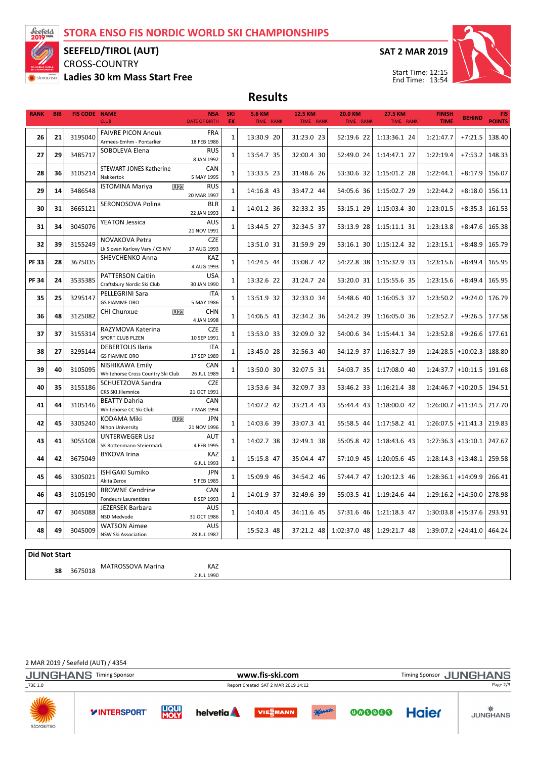

### SEEFELD/TIROL (AUT)

CROSS-COUNTRY

Ladies 30 km Mass Start Free

SAT 2 MAR 2019



Start Time: 12:15 End Time: 13:54

Results

| <b>RANK</b> | <b>BIB</b> | <b>FIS CODE NAME</b> | <b>CLUB</b>                                       | <b>NSA</b><br><b>DATE OF BIRTH</b> | SKI<br>EX    | <b>5.6 KM</b><br>TIME RANK | 12.5 KM<br>TIME RANK     | <b>20.0 KM</b><br>TIME RANK | <b>27.5 KM</b><br>TIME RANK | <b>FINISH</b><br><b>TIME</b> | <b>BEHIND</b>        | <b>FIS</b><br><b>POINTS</b> |
|-------------|------------|----------------------|---------------------------------------------------|------------------------------------|--------------|----------------------------|--------------------------|-----------------------------|-----------------------------|------------------------------|----------------------|-----------------------------|
|             |            |                      |                                                   |                                    |              |                            |                          |                             |                             |                              |                      |                             |
| 26          | 21         | 3195040              | <b>FAIVRE PICON Anouk</b>                         | <b>FRA</b>                         | $\mathbf{1}$ | 13:30.9 20                 | 31:23.0 23               | 52:19.6 22                  | 1:13:36.1 24                | 1:21:47.7                    | $+7:21.5$            | 138.40                      |
|             |            |                      | Armees-Emhm - Pontarlier                          | 18 FEB 1986                        |              |                            |                          |                             |                             |                              |                      |                             |
| 27          | 29         | 3485717              | SOBOLEVA Elena                                    | <b>RUS</b><br>8 JAN 1992           | $\mathbf{1}$ | 13:54.7 35                 | 32:00.4 30               | 52:49.0 24                  | 1:14:47.1 27                | 1:22:19.4                    | $+7:53.2$            | 148.33                      |
|             |            |                      | STEWART-JONES Katherine                           | CAN                                |              |                            |                          |                             |                             |                              |                      |                             |
| 28          | 36         | 3105214              | Nakkertok                                         | 5 MAY 1995                         | $\mathbf{1}$ | 13:33.5 23                 | 31:48.6 26               | 53:30.6 32                  | 1:15:01.2 28                | 1:22:44.1                    | $+8:17.9$            | 156.07                      |
|             |            | 3486548              | <b>ISTOMINA Mariya</b><br><b>U23</b>              | RUS                                | $\mathbf{1}$ |                            |                          |                             |                             |                              |                      |                             |
| 29          | 14         |                      |                                                   | 20 MAR 1997                        |              | 14:16.8 43                 | 33:47.2 44               | 54:05.6 36                  | 1:15:02.7 29                | 1:22:44.2                    | $+8:18.0$            | 156.11                      |
| 30          | 31         | 3665121              | SERONOSOVA Polina                                 | <b>BLR</b>                         | $\mathbf{1}$ | 14:01.2 36                 | 32:33.2 35               | 53:15.1 29                  | 1:15:03.4 30                | 1:23:01.5                    | $+8:35.3$            | 161.53                      |
|             |            |                      |                                                   | 22 JAN 1993                        |              |                            |                          |                             |                             |                              |                      |                             |
| 31          | 34         | 3045076              | <b>YEATON Jessica</b>                             | AUS<br>21 NOV 1991                 | $\mathbf{1}$ | 13:44.5 27                 | 32:34.5 37               | 53:13.9 28                  | 1:15:11.1 31                | 1:23:13.8                    | $+8:47.6$            | 165.38                      |
|             |            |                      | NOVAKOVA Petra                                    | <b>CZE</b>                         |              |                            |                          |                             |                             |                              |                      |                             |
| 32          | 39         | 3155249              | Lk Slovan Karlovy Vary / CS MV                    | 17 AUG 1993                        |              | 13:51.0 31                 | 31:59.9 29               | 53:16.1 30                  | 1:15:12.4 32                | 1:23:15.1                    | $+8:48.9$            | 165.79                      |
|             |            |                      | SHEVCHENKO Anna                                   | KAZ                                |              |                            |                          |                             |                             |                              |                      |                             |
| <b>PF33</b> | 28         | 3675035              |                                                   | 4 AUG 1993                         | $\mathbf{1}$ | 14:24.5 44                 | 33:08.7 42               | 54:22.8 38                  | 1:15:32.9 33                | 1:23:15.6                    | $+8:49.4$            | 165.95                      |
| <b>PF34</b> | 24         | 3535385              | PATTERSON Caitlin                                 | USA                                | $\mathbf{1}$ | 13:32.6 22                 | 31:24.7 24               | 53:20.0 31                  | 1:15:55.6 35                | 1:23:15.6                    | $+8:49.4$            | 165.95                      |
|             |            |                      | Craftsbury Nordic Ski Club                        | 30 JAN 1990                        |              |                            |                          |                             |                             |                              |                      |                             |
| 35          | 25         | 3295147              | PELLEGRINI Sara                                   | <b>ITA</b>                         | $\mathbf{1}$ | 13:51.9 32                 | 32:33.0 34               | 54:48.6 40                  | 1:16:05.3 37                | 1:23:50.2                    | $+9:24.0$            | 176.79                      |
|             |            |                      | <b>GS FIAMME ORO</b><br><b>CHI Chunxue</b><br>U23 | 5 MAY 1986<br><b>CHN</b>           |              |                            |                          |                             |                             |                              |                      |                             |
| 36          | 48         | 3125082              |                                                   | 4 JAN 1998                         | $\mathbf{1}$ | 14:06.5 41                 | 32:34.2 36               | 54:24.2 39                  | 1:16:05.0 36                | 1:23:52.7                    | $+9:26.5$            | 177.58                      |
|             |            |                      | RAZYMOVA Katerina                                 | <b>CZE</b>                         |              |                            |                          |                             |                             |                              |                      |                             |
| 37          | 37         | 3155314              | SPORT CLUB PLZEN                                  | 10 SEP 1991                        | $\mathbf{1}$ | 13:53.0 33                 | 32:09.0 32               | 54:00.6 34                  | 1:15:44.1 34                | 1:23:52.8                    | $+9:26.6$            | 177.61                      |
| 38          | 27         | 3295144              | <b>DEBERTOLIS Ilaria</b>                          | <b>ITA</b>                         | $\mathbf{1}$ | 13:45.0 28                 | 32:56.3 40               | 54:12.9 37                  | 1:16:32.7 39                | $1:24:28.5$ +10:02.3         |                      | 188.80                      |
|             |            |                      | <b>GS FIAMME ORO</b>                              | 17 SEP 1989                        |              |                            |                          |                             |                             |                              |                      |                             |
| 39          | 40         | 3105095              | NISHIKAWA Emily                                   | CAN                                | $\mathbf{1}$ | 13:50.0 30                 | 32:07.5 31               | 54:03.7 35                  | 1:17:08.0 40                |                              | $1:24:37.7$ +10:11.5 | 191.68                      |
|             |            |                      | Whitehorse Cross Country Ski Club                 | 26 JUL 1989                        |              |                            |                          |                             |                             |                              |                      |                             |
| 40          | 35         | 3155186              | SCHUETZOVA Sandra<br>CKS SKI Jilemnice            | <b>CZE</b><br>21 OCT 1991          |              | 13:53.6 34                 | 32:09.7 33               | 53:46.2 33                  | 1:16:21.4 38                |                              | $1:24:46.7$ +10:20.5 | 194.51                      |
|             |            |                      | <b>BEATTY Dahria</b>                              | CAN                                |              |                            |                          |                             |                             |                              |                      |                             |
| 41          | 44         | 3105146              | Whitehorse CC Ski Club                            | 7 MAR 1994                         |              | 14:07.2 42                 | 33:21.4 43               | 55:44.4 43                  | 1:18:00.0 42                |                              | $1:26:00.7$ +11:34.5 | 217.70                      |
| 42          | 45         | 3305240              | KODAMA Miki<br>U23                                | <b>JPN</b>                         | $\mathbf{1}$ | 14:03.6 39                 | 33:07.3 41               | 55:58.5 44                  | 1:17:58.2 41                |                              | $1:26:07.5$ +11:41.3 | 219.83                      |
|             |            |                      | Nihon University                                  | 21 NOV 1996                        |              |                            |                          |                             |                             |                              |                      |                             |
| 43          | 41         | 3055108              | <b>UNTERWEGER Lisa</b>                            | AUT                                | $\mathbf{1}$ | 14:02.7 38                 | 32:49.1 38               | 55:05.8 42                  | 1:18:43.6 43                |                              | $1:27:36.3$ +13:10.1 | 247.67                      |
|             |            |                      | SK Rottenmann-Steiermark                          | 4 FEB 1995<br>KAZ                  |              |                            |                          |                             |                             |                              |                      |                             |
| 44          | 42         | 3675049              | <b>BYKOVA Irina</b>                               | 6 JUL 1993                         | $\mathbf{1}$ | 15:15.8 47                 | 35:04.4 47               | 57:10.9 45                  | 1:20:05.6 45                |                              | $1:28:14.3$ +13:48.1 | 259.58                      |
|             | 45<br>46   |                      | <b>ISHIGAKI Sumiko</b>                            | <b>JPN</b>                         | $\mathbf{1}$ | 15:09.9 46<br>14:01.9 37   | 34:54.2 46<br>32:49.6 39 | 57:44.7 47<br>55:03.5 41    |                             |                              |                      | 266.41<br>278.98            |
|             |            | 3305021              | Akita Zerox                                       | 5 FEB 1985                         |              |                            |                          |                             | 1:20:12.3 46                | $1:28:36.1$ +14:09.9         |                      |                             |
|             | 43         | 3105190              | <b>BROWNE Cendrine</b>                            | CAN                                | $\mathbf{1}$ |                            |                          |                             | 1:19:24.6 44                |                              |                      |                             |
| 46          |            |                      | <b>Fondeurs Laurentides</b>                       | 8 SEP 1993                         |              |                            |                          |                             |                             |                              | $1:29:16.2$ +14:50.0 |                             |
| 47          | 47         | 3045088              | JEZERSEK Barbara                                  | AUS                                | $\mathbf{1}$ | 14:40.4 45                 | 34:11.6 45               | 57:31.6 46                  | 1:21:18.3 47                |                              | $1:30:03.8$ +15:37.6 | 293.91                      |
|             |            |                      | NSD Medvode                                       | 31 OCT 1986                        |              |                            |                          |                             |                             |                              |                      |                             |
| 48          | 49         | 3045009              | <b>WATSON Aimee</b><br>NSW Ski Association        | <b>AUS</b><br>28 JUL 1987          |              | 15:52.3 48                 | 37:21.2 48               | 1:02:37.0 48                | 1:29:21.7 48                |                              | $1:39:07.2$ +24:41.0 | 464.24                      |
|             |            |                      |                                                   |                                    |              |                            |                          |                             |                             |                              |                      |                             |

#### Did Not Start

<sup>38</sup> MATROSSOVA Marina KAZ 3675018

2 JUL 1990